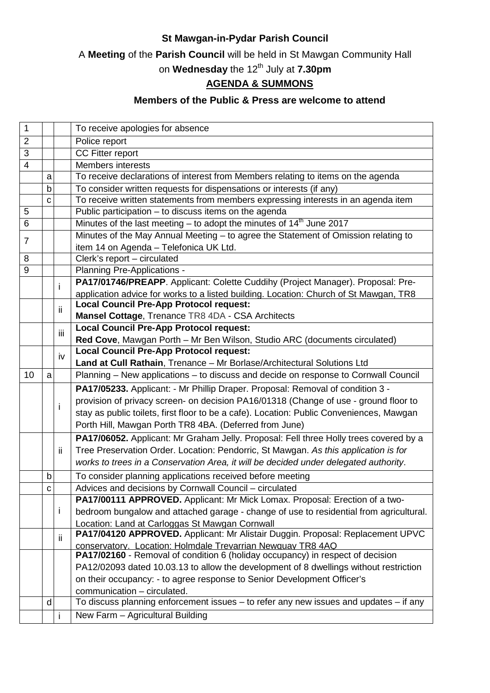## **St Mawgan-in-Pydar Parish Council**

A **Meeting** of the **Parish Council** will be held in St Mawgan Community Hall

## on **Wednesday** the 12th July at **7.30pm**

## **AGENDA & SUMMONS**

## **Members of the Public & Press are welcome to attend**

| 1              |              |              | To receive apologies for absence                                                                                                 |
|----------------|--------------|--------------|----------------------------------------------------------------------------------------------------------------------------------|
| $\overline{2}$ |              |              | Police report                                                                                                                    |
| 3              |              |              | <b>CC Fitter report</b>                                                                                                          |
| 4              |              |              | <b>Members interests</b>                                                                                                         |
|                | a            |              | To receive declarations of interest from Members relating to items on the agenda                                                 |
|                | b            |              | To consider written requests for dispensations or interests (if any)                                                             |
|                | C            |              | To receive written statements from members expressing interests in an agenda item                                                |
| 5              |              |              | Public participation - to discuss items on the agenda                                                                            |
| 6              |              |              | Minutes of the last meeting - to adopt the minutes of 14 <sup>th</sup> June 2017                                                 |
|                |              |              | Minutes of the May Annual Meeting - to agree the Statement of Omission relating to                                               |
| $\overline{7}$ |              |              | item 14 on Agenda - Telefonica UK Ltd.                                                                                           |
| 8              |              |              | Clerk's report - circulated                                                                                                      |
| 9              |              |              | Planning Pre-Applications -                                                                                                      |
|                |              |              | PA17/01746/PREAPP. Applicant: Colette Cuddihy (Project Manager). Proposal: Pre-                                                  |
|                |              |              | application advice for works to a listed building. Location: Church of St Mawgan, TR8                                            |
|                |              | ii           | <b>Local Council Pre-App Protocol request:</b>                                                                                   |
|                |              |              | Mansel Cottage, Trenance TR8 4DA - CSA Architects                                                                                |
|                |              | iίi          | <b>Local Council Pre-App Protocol request:</b>                                                                                   |
|                |              |              | Red Cove, Mawgan Porth - Mr Ben Wilson, Studio ARC (documents circulated)                                                        |
|                |              | iv           | <b>Local Council Pre-App Protocol request:</b>                                                                                   |
|                |              |              | Land at Cull Rathain, Trenance - Mr Borlase/Architectural Solutions Ltd                                                          |
| 10             | a            |              | Planning – New applications – to discuss and decide on response to Cornwall Council                                              |
|                |              |              | PA17/05233. Applicant: - Mr Phillip Draper. Proposal: Removal of condition 3 -                                                   |
|                |              | i            | provision of privacy screen- on decision PA16/01318 (Change of use - ground floor to                                             |
|                |              |              | stay as public toilets, first floor to be a cafe). Location: Public Conveniences, Mawgan                                         |
|                |              |              | Porth Hill, Mawgan Porth TR8 4BA. (Deferred from June)                                                                           |
|                |              | ïi           | PA17/06052. Applicant: Mr Graham Jelly. Proposal: Fell three Holly trees covered by a                                            |
|                |              |              | Tree Preservation Order. Location: Pendorric, St Mawgan. As this application is for                                              |
|                |              |              | works to trees in a Conservation Area, it will be decided under delegated authority.                                             |
|                | b            |              | To consider planning applications received before meeting                                                                        |
|                | $\mathbf{C}$ |              | Advices and decisions by Cornwall Council - circulated                                                                           |
|                |              |              | PA17/00111 APPROVED. Applicant: Mr Mick Lomax. Proposal: Erection of a two-                                                      |
|                |              | $\mathbf{I}$ | bedroom bungalow and attached garage - change of use to residential from agricultural.                                           |
|                |              |              |                                                                                                                                  |
|                |              |              | Location: Land at Carloggas St Mawgan Cornwall<br>PA17/04120 APPROVED. Applicant: Mr Alistair Duggin. Proposal: Replacement UPVC |
|                |              | ïi           | conservatory. Location: Holmdale Trevarrian Newquay TR8 4AQ                                                                      |
|                |              |              | PA17/02160 - Removal of condition 6 (holiday occupancy) in respect of decision                                                   |
|                |              |              | PA12/02093 dated 10.03.13 to allow the development of 8 dwellings without restriction                                            |
|                |              |              | on their occupancy: - to agree response to Senior Development Officer's                                                          |
|                |              |              | communication - circulated.                                                                                                      |
|                | d            |              | To discuss planning enforcement issues - to refer any new issues and updates - if any                                            |
|                |              |              |                                                                                                                                  |